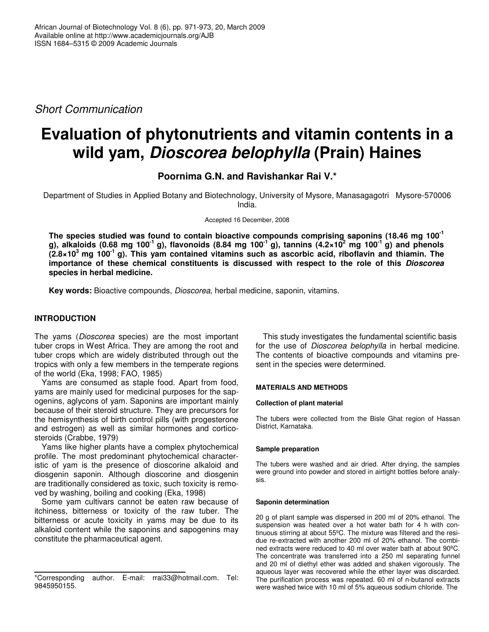*Short Communication*

# **Evaluation of phytonutrients and vitamin contents in a wild yam,** *Dioscorea belophylla* **(Prain) Haines**

**Poornima G.N. and Ravishankar Rai V.\***

Department of Studies in Applied Botany and Biotechnology, University of Mysore, Manasagagotri Mysore-570006 India.

Accepted 16 December, 2008

**The species studied was found to contain bioactive compounds comprising saponins (18.46 mg 100 -1** g), alkaloids (0.68 mg 100 $^1$  g), flavonoids (8.84 mg 100 $^1$  g), tannins (4.2×10 $^2$  mg 100 $^1$  g) and phenols  $(2.8 \times 10^3$  mg 100<sup>-1</sup> g). This yam contained vitamins such as ascorbic acid, riboflavin and thiamin. The **importance of these chemical constituents is discussed with respect to the role of this** *Dioscorea* **species in herbal medicine.**

**Key words:** Bioactive compounds, *Dioscorea*, herbal medicine, saponin, vitamins.

# **INTRODUCTION**

The yams (*Dioscorea* species) are the most important tuber crops in West Africa. They are among the root and tuber crops which are widely distributed through out the tropics with only a few members in the temperate regions of the world (Eka, 1998; FAO, 1985)

Yams are consumed as staple food. Apart from food, yams are mainly used for medicinal purposes for the sapogenins, aglycons of yam. Saponins are important mainly because of their steroid structure. They are precursors for the hemisynthesis of birth control pills (with progesterone and estrogen) as well as similar hormones and corticosteroids (Crabbe, 1979)

Yams like higher plants have a complex phytochemical profile. The most predominant phytochemical characteristic of yam is the presence of dioscorine alkaloid and diosgenin saponin. Although dioscorine and diosgenin are traditionally considered as toxic, such toxicity is removed by washing, boiling and cooking (Eka, 1998)

Some yam cultivars cannot be eaten raw because of itchiness, bitterness or toxicity of the raw tuber. The bitterness or acute toxicity in yams may be due to its alkaloid content while the saponins and sapogenins may constitute the pharmaceutical agent.

This study investigates the fundamental scientific basis for the use of *Dioscorea belophylla* in herbal medicine. The contents of bioactive compounds and vitamins present in the species were determined.

# **MATERIALS AND METHODS**

# **Collection of plant material**

The tubers were collected from the Bisle Ghat region of Hassan District, Karnataka.

# **Sample preparation**

The tubers were washed and air dried. After drying, the samples were ground into powder and stored in airtight bottles before analysis.

## **Saponin determination**

20 g of plant sample was dispersed in 200 ml of 20% ethanol. The suspension was heated over a hot water bath for 4 h with continuous stirring at about 55ºC. The mixture was filtered and the residue re-extracted with another 200 ml of 20% ethanol. The combined extracts were reduced to 40 ml over water bath at about 90ºC. The concentrate was transferred into a 250 ml separating funnel and 20 ml of diethyl ether was added and shaken vigorously. The aqueous layer was recovered while the ether layer was discarded. The purification process was repeated. 60 ml of n-butanol extracts were washed twice with 10 ml of 5% aqueous sodium chloride. The

<sup>\*</sup>Corresponding author. E-mail: rrai33@hotmail.com. Tel: 9845950155.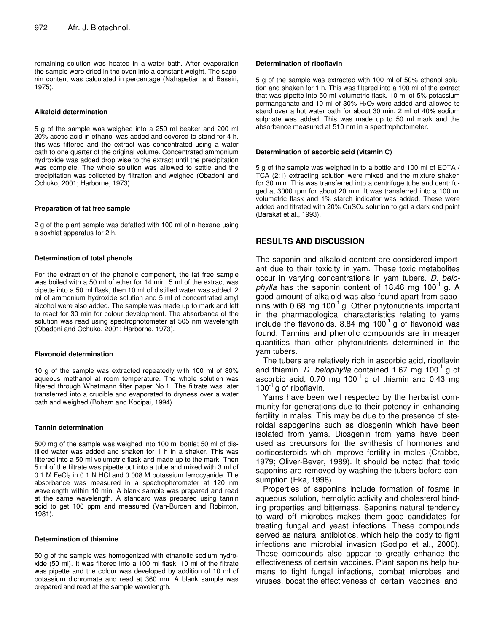remaining solution was heated in a water bath. After evaporation the sample were dried in the oven into a constant weight. The saponin content was calculated in percentage (Nahapetian and Bassiri, 1975).

## **Alkaloid determination**

5 g of the sample was weighed into a 250 ml beaker and 200 ml 20% acetic acid in ethanol was added and covered to stand for 4 h. this was filtered and the extract was concentrated using a water bath to one quarter of the original volume. Concentrated ammonium hydroxide was added drop wise to the extract until the precipitation was complete. The whole solution was allowed to settle and the precipitation was collected by filtration and weighed (Obadoni and Ochuko, 2001; Harborne, 1973).

## **Preparation of fat free sample**

2 g of the plant sample was defatted with 100 ml of n-hexane using a soxhlet apparatus for 2 h.

## **Determination of total phenols**

For the extraction of the phenolic component, the fat free sample was boiled with a 50 ml of ether for 14 min. 5 ml of the extract was pipette into a 50 ml flask, then 10 ml of distilled water was added. 2 ml of ammonium hydroxide solution and 5 ml of concentrated amyl alcohol were also added. The sample was made up to mark and left to react for 30 min for colour development. The absorbance of the solution was read using spectrophotometer at 505 nm wavelength (Obadoni and Ochuko, 2001; Harborne, 1973).

## **Flavonoid determination**

10 g of the sample was extracted repeatedly with 100 ml of 80% aqueous methanol at room temperature. The whole solution was filtered through Whatmann filter paper No.1. The filtrate was later transferred into a crucible and evaporated to dryness over a water bath and weighed (Boham and Kocipai, 1994).

#### **Tannin determination**

500 mg of the sample was weighed into 100 ml bottle; 50 ml of distilled water was added and shaken for 1 h in a shaker. This was filtered into a 50 ml volumetric flask and made up to the mark. Then 5 ml of the filtrate was pipette out into a tube and mixed with 3 ml of 0.1 M FeC $I_3$  in 0.1 N HCl and 0.008 M potassium ferrocyanide. The absorbance was measured in a spectrophotometer at 120 nm wavelength within 10 min. A blank sample was prepared and read at the same wavelength. A standard was prepared using tannin acid to get 100 ppm and measured (Van-Burden and Robinton, 1981).

## **Determination of thiamine**

50 g of the sample was homogenized with ethanolic sodium hydroxide (50 ml). It was filtered into a 100 ml flask. 10 ml of the filtrate was pipette and the colour was developed by addition of 10 ml of potassium dichromate and read at 360 nm. A blank sample was prepared and read at the sample wavelength.

## **Determination of riboflavin**

5 g of the sample was extracted with 100 ml of 50% ethanol solution and shaken for 1 h. This was filtered into a 100 ml of the extract that was pipette into 50 ml volumetric flask. 10 ml of 5% potassium permanganate and 10 ml of  $30\%$  H<sub>2</sub>O<sub>2</sub> were added and allowed to stand over a hot water bath for about 30 min. 2 ml of 40% sodium sulphate was added. This was made up to 50 ml mark and the absorbance measured at 510 nm in a spectrophotometer.

## **Determination of ascorbic acid (vitamin C)**

5 g of the sample was weighed in to a bottle and 100 ml of EDTA / TCA (2:1) extracting solution were mixed and the mixture shaken for 30 min. This was transferred into a centrifuge tube and centrifuged at 3000 rpm for about 20 min. It was transferred into a 100 ml volumetric flask and 1% starch indicator was added. These were added and titrated with 20% CuSO<sup>4</sup> solution to get a dark end point (Barakat et al., 1993).

# **RESULTS AND DISCUSSION**

The saponin and alkaloid content are considered important due to their toxicity in yam. These toxic metabolites occur in varying concentrations in yam tubers. *D. belo*phylla has the saponin content of 18.46 mg 100<sup>-1</sup> g. A good amount of alkaloid was also found apart from saponins with 0.68 mg  $100^{-1}$  g. Other phytonutrients important in the pharmacological characteristics relating to yams include the flavonoids. 8.84 mg  $100^{-1}$  g of flavonoid was found. Tannins and phenolic compounds are in meager quantities than other phytonutrients determined in the yam tubers.

The tubers are relatively rich in ascorbic acid, riboflavin and thiamin. *D. belophylla* contained 1.67 mg 100<sup>-1</sup> g of ascorbic acid,  $0.70 \text{ mg } 100^{-1}$  g of thiamin and  $0.43 \text{ mg}$  $100<sup>-1</sup>$  g of riboflavin.

Yams have been well respected by the herbalist community for generations due to their potency in enhancing fertility in males. This may be due to the presence of steroidal sapogenins such as diosgenin which have been isolated from yams. Diosgenin from yams have been used as precursors for the synthesis of hormones and corticosteroids which improve fertility in males (Crabbe, 1979; Oliver-Bever, 1989). It should be noted that toxic saponins are removed by washing the tubers before consumption (Eka, 1998).

Properties of saponins include formation of foams in aqueous solution, hemolytic activity and cholesterol binding properties and bitterness. Saponins natural tendency to ward off microbes makes them good candidates for treating fungal and yeast infections. These compounds served as natural antibiotics, which help the body to fight infections and microbial invasion (Sodipo et al., 2000). These compounds also appear to greatly enhance the effectiveness of certain vaccines. Plant saponins help humans to fight fungal infections, combat microbes and viruses, boost the effectiveness of certain vaccines and